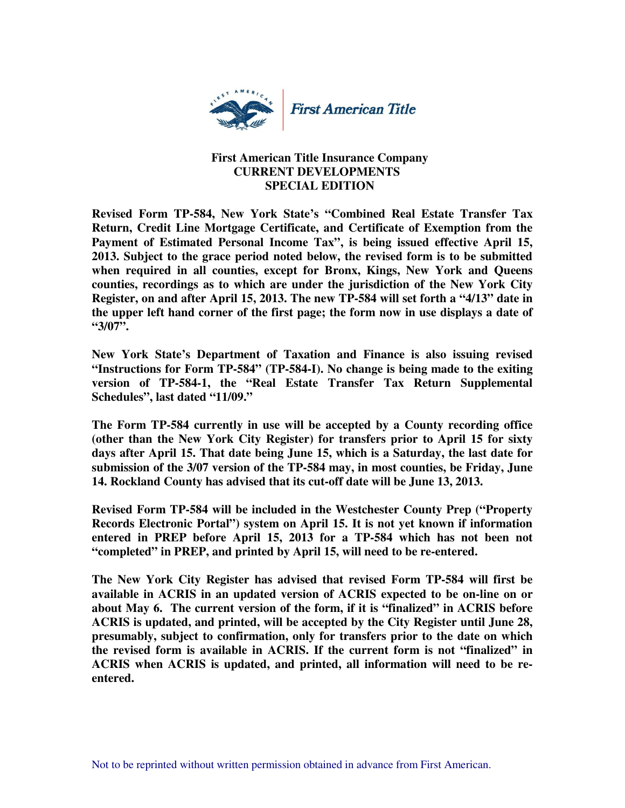

## **First American Title Insurance Company CURRENT DEVELOPMENTS SPECIAL EDITION**

**Revised Form TP-584, New York State's "Combined Real Estate Transfer Tax Return, Credit Line Mortgage Certificate, and Certificate of Exemption from the Payment of Estimated Personal Income Tax", is being issued effective April 15, 2013. Subject to the grace period noted below, the revised form is to be submitted when required in all counties, except for Bronx, Kings, New York and Queens counties, recordings as to which are under the jurisdiction of the New York City Register, on and after April 15, 2013. The new TP-584 will set forth a "4/13" date in the upper left hand corner of the first page; the form now in use displays a date of "3/07".** 

**New York State's Department of Taxation and Finance is also issuing revised "Instructions for Form TP-584" (TP-584-I). No change is being made to the exiting version of TP-584-1, the "Real Estate Transfer Tax Return Supplemental Schedules", last dated "11/09."** 

**The Form TP-584 currently in use will be accepted by a County recording office (other than the New York City Register) for transfers prior to April 15 for sixty days after April 15. That date being June 15, which is a Saturday, the last date for submission of the 3/07 version of the TP-584 may, in most counties, be Friday, June 14. Rockland County has advised that its cut-off date will be June 13, 2013.** 

**Revised Form TP-584 will be included in the Westchester County Prep ("Property Records Electronic Portal") system on April 15. It is not yet known if information entered in PREP before April 15, 2013 for a TP-584 which has not been not "completed" in PREP, and printed by April 15, will need to be re-entered.** 

**The New York City Register has advised that revised Form TP-584 will first be available in ACRIS in an updated version of ACRIS expected to be on-line on or about May 6. The current version of the form, if it is "finalized" in ACRIS before ACRIS is updated, and printed, will be accepted by the City Register until June 28, presumably, subject to confirmation, only for transfers prior to the date on which the revised form is available in ACRIS. If the current form is not "finalized" in ACRIS when ACRIS is updated, and printed, all information will need to be reentered.**